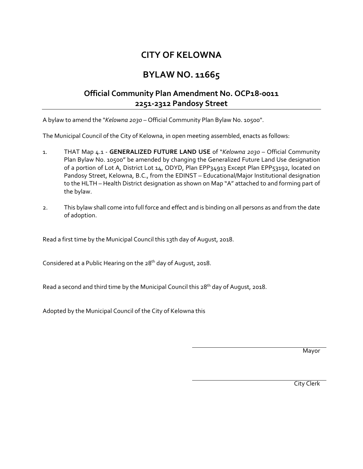## **CITY OF KELOWNA**

## **BYLAW NO. 11665**

## **Official Community Plan Amendment No. OCP18-0011 2251-2312 Pandosy Street**

A bylaw to amend the "*Kelowna 2030* – Official Community Plan Bylaw No. 10500".

The Municipal Council of the City of Kelowna, in open meeting assembled, enacts as follows:

- 1. THAT Map 4.1 **GENERALIZED FUTURE LAND USE** of "*Kelowna 2030* Official Community Plan Bylaw No. 10500" be amended by changing the Generalized Future Land Use designation of a portion of Lot A, District Lot 14, ODYD, Plan EPP34913 Except Plan EPP53192, located on Pandosy Street, Kelowna, B.C., from the EDINST – Educational/Major Institutional designation to the HLTH – Health District designation as shown on Map "A" attached to and forming part of the bylaw.
- 2. This bylaw shall come into full force and effect and is binding on all persons as and from the date of adoption.

Read a first time by the Municipal Council this 13th day of August, 2018.

Considered at a Public Hearing on the 28<sup>th</sup> day of August, 2018.

Read a second and third time by the Municipal Council this 28<sup>th</sup> day of August, 2018.

Adopted by the Municipal Council of the City of Kelowna this

Mayor

City Clerk